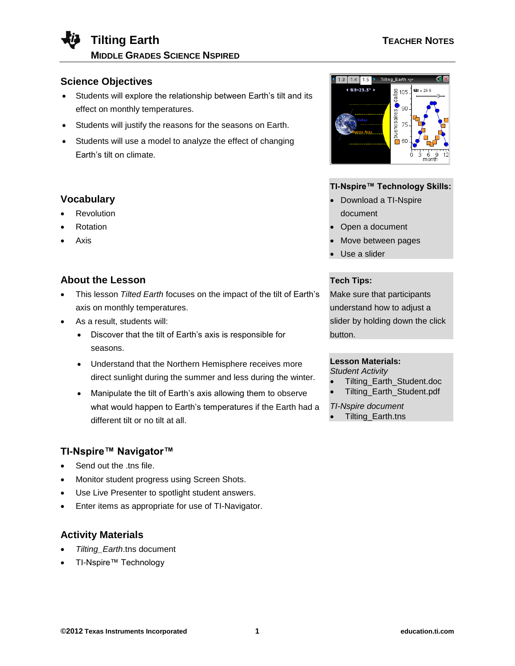

## **Science Objectives**

- Students will explore the relationship between Earth's tilt and its effect on monthly temperatures.
- Students will justify the reasons for the seasons on Earth.
- Students will use a model to analyze the effect of changing Earth's tilt on climate.

## **Vocabulary**

- Revolution
- Rotation
- Axis

# **About the Lesson**

- This lesson *Tilted Earth* focuses on the impact of the tilt of Earth's axis on monthly temperatures.
- As a result, students will:
	- Discover that the tilt of Earth's axis is responsible for seasons.
	- Understand that the Northern Hemisphere receives more direct sunlight during the summer and less during the winter.
	- Manipulate the tilt of Earth's axis allowing them to observe what would happen to Earth's temperatures if the Earth had a different tilt or no tilt at all.

## **TI-Nspire™ Navigator™**

- Send out the .tns file.
- Monitor student progress using Screen Shots.
- Use Live Presenter to spotlight student answers.
- Enter items as appropriate for use of TI-Navigator.

## **Activity Materials**

- *Tilting\_Earth*.tns document
- TI-Nspire™ Technology



### **TI-Nspire™ Technology Skills:**

- Download a TI-Nspire document
- Open a document
- **Move between pages**
- Use a slider

### **Tech Tips:**

Make sure that participants understand how to adjust a slider by holding down the click button.

## **Lesson Materials:**

### *Student Activity*

Tilting\_Earth\_Student.doc

Tilting\_Earth\_Student.pdf

*TI-Nspire document*  Tilting\_Earth.tns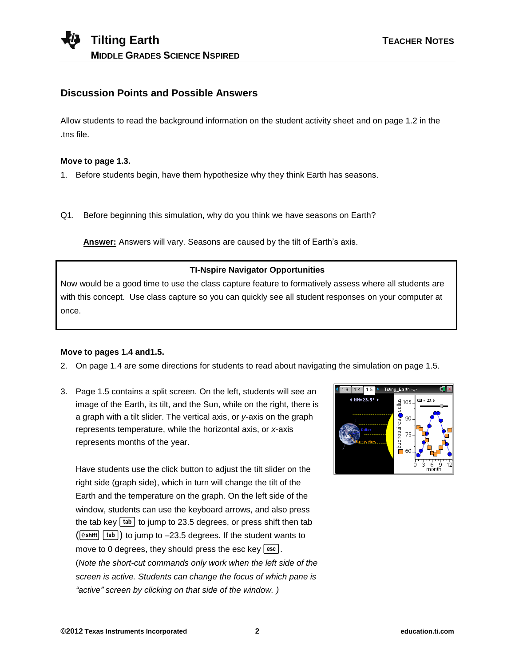# **Discussion Points and Possible Answers**

Allow students to read the background information on the student activity sheet and on page 1.2 in the .tns file.

#### **Move to page 1.3.**

1. Before students begin, have them hypothesize why they think Earth has seasons.

Q1. Before beginning this simulation, why do you think we have seasons on Earth?

**Answer:** Answers will vary. Seasons are caused by the tilt of Earth's axis.

### **TI-Nspire Navigator Opportunities**

Now would be a good time to use the class capture feature to formatively assess where all students are with this concept. Use class capture so you can quickly see all student responses on your computer at once.

### **Move to pages 1.4 and1.5.**

- 2. On page 1.4 are some directions for students to read about navigating the simulation on page 1.5.
- 3. Page 1.5 contains a split screen. On the left, students will see an image of the Earth, its tilt, and the Sun, while on the right, there is a graph with a tilt slider. The vertical axis, or *y*-axis on the graph represents temperature, while the horizontal axis, or *x*-axis represents months of the year.

Have students use the click button to adjust the tilt slider on the right side (graph side), which in turn will change the tilt of the Earth and the temperature on the graph. On the left side of the window, students can use the keyboard arrows, and also press the tab key  $[tab]$  to jump to 23.5 degrees, or press shift then tab  $(\lceil \hat{v} \cdot \text{shift} \rceil \rceil \text{tab})$  to jump to -23.5 degrees. If the student wants to move to 0 degrees, they should press the esc key  $\lceil \sec \rceil$ . (*Note the short-cut commands only work when the left side of the screen is active. Students can change the focus of which pane is "active" screen by clicking on that side of the window. )*

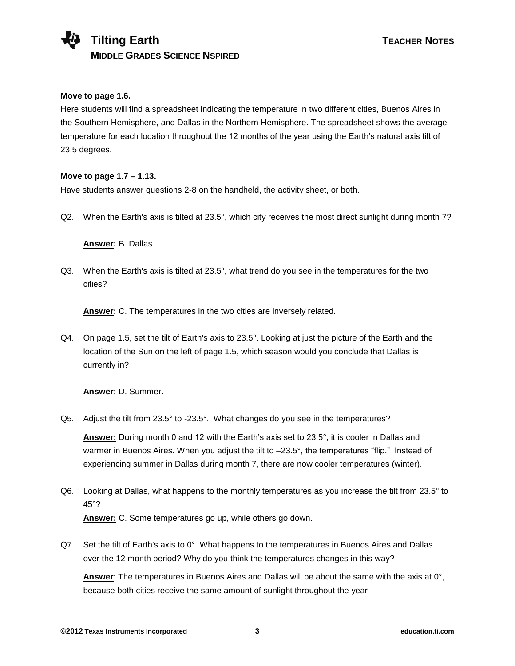### **Move to page 1.6.**

Here students will find a spreadsheet indicating the temperature in two different cities, Buenos Aires in the Southern Hemisphere, and Dallas in the Northern Hemisphere. The spreadsheet shows the average temperature for each location throughout the 12 months of the year using the Earth's natural axis tilt of 23.5 degrees.

### **Move to page 1.7 – 1.13.**

Have students answer questions 2-8 on the handheld, the activity sheet, or both.

Q2. When the Earth's axis is tilted at 23.5°, which city receives the most direct sunlight during month 7?

### **Answer:** B. Dallas.

Q3. When the Earth's axis is tilted at 23.5°, what trend do you see in the temperatures for the two cities?

**Answer:** C. The temperatures in the two cities are inversely related.

Q4. On page 1.5, set the tilt of Earth's axis to 23.5°. Looking at just the picture of the Earth and the location of the Sun on the left of page 1.5, which season would you conclude that Dallas is currently in?

**Answer:** D. Summer.

Q5. Adjust the tilt from 23.5° to -23.5°. What changes do you see in the temperatures?

**Answer:** During month 0 and 12 with the Earth's axis set to 23.5°, it is cooler in Dallas and warmer in Buenos Aires. When you adjust the tilt to -23.5°, the temperatures "flip." Instead of experiencing summer in Dallas during month 7, there are now cooler temperatures (winter).

- Q6. Looking at Dallas, what happens to the monthly temperatures as you increase the tilt from 23.5° to 45°? **Answer:** C. Some temperatures go up, while others go down.
- Q7. Set the tilt of Earth's axis to 0°. What happens to the temperatures in Buenos Aires and Dallas over the 12 month period? Why do you think the temperatures changes in this way?

**Answer**: The temperatures in Buenos Aires and Dallas will be about the same with the axis at 0°, because both cities receive the same amount of sunlight throughout the year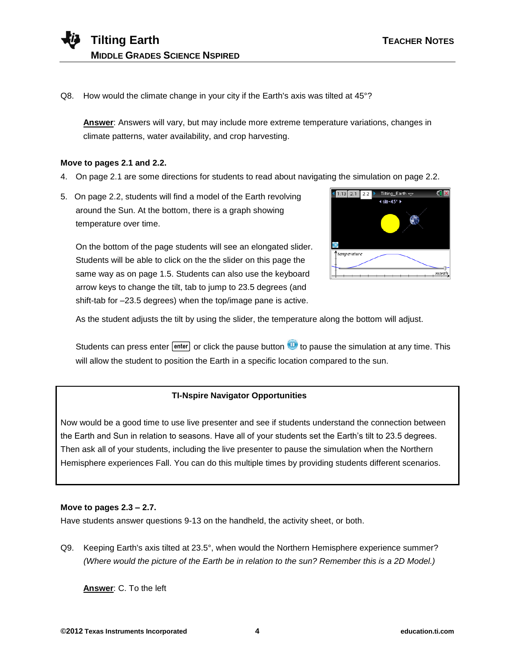Q8. How would the climate change in your city if the Earth's axis was tilted at 45°?

**Answer**: Answers will vary, but may include more extreme temperature variations, changes in climate patterns, water availability, and crop harvesting.

#### **Move to pages 2.1 and 2.2.**

- 4. On page 2.1 are some directions for students to read about navigating the simulation on page 2.2.
- 5. On page 2.2, students will find a model of the Earth revolving around the Sun. At the bottom, there is a graph showing temperature over time.

On the bottom of the page students will see an elongated slider. Students will be able to click on the the slider on this page the same way as on page 1.5. Students can also use the keyboard arrow keys to change the tilt, tab to jump to 23.5 degrees (and shift-tab for –23.5 degrees) when the top/image pane is active.



As the student adjusts the tilt by using the slider, the temperature along the bottom will adjust.

Students can press enter  $\overline{[enter]}$  or click the pause button  $\overline{w}$  to pause the simulation at any time. This will allow the student to position the Earth in a specific location compared to the sun.

### **TI-Nspire Navigator Opportunities**

Now would be a good time to use live presenter and see if students understand the connection between the Earth and Sun in relation to seasons. Have all of your students set the Earth's tilt to 23.5 degrees. Then ask all of your students, including the live presenter to pause the simulation when the Northern Hemisphere experiences Fall. You can do this multiple times by providing students different scenarios.

### **Move to pages 2.3 – 2.7.**

Have students answer questions 9-13 on the handheld, the activity sheet, or both.

Q9. Keeping Earth's axis tilted at 23.5°, when would the Northern Hemisphere experience summer? *(Where would the picture of the Earth be in relation to the sun? Remember this is a 2D Model.)*

**Answer**: C. To the left